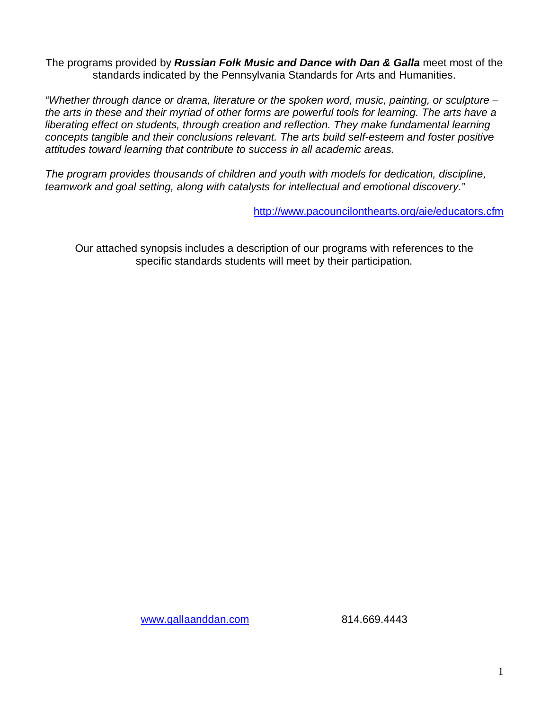The programs provided by *Russian Folk Music and Dance with Dan & Galla* meet most of the standards indicated by the Pennsylvania Standards for Arts and Humanities.

*"Whether through dance or drama, literature or the spoken word, music, painting, or sculpture – the arts in these and their myriad of other forms are powerful tools for learning. The arts have a liberating effect on students, through creation and reflection. They make fundamental learning concepts tangible and their conclusions relevant. The arts build self-esteem and foster positive attitudes toward learning that contribute to success in all academic areas.*

*The program provides thousands of children and youth with models for dedication, discipline, teamwork and goal setting, along with catalysts for intellectual and emotional discovery."*

http://www.pacouncilonthearts.org/aie/educators.cfm

Our attached synopsis includes a description of our programs with references to the specific standards students will meet by their participation.

www.gallaanddan.com 814.669.4443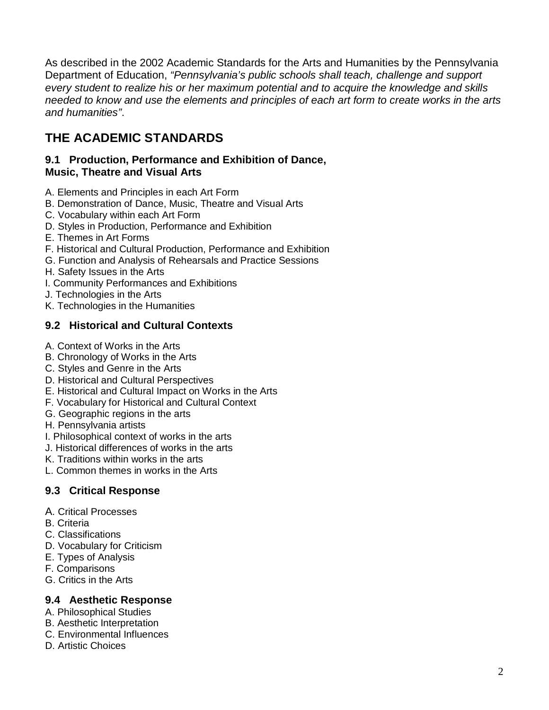As described in the 2002 Academic Standards for the Arts and Humanities by the Pennsylvania Department of Education, *"Pennsylvania's public schools shall teach, challenge and support every student to realize his or her maximum potential and to acquire the knowledge and skills needed to know and use the elements and principles of each art form to create works in the arts and humanities"*.

## **THE ACADEMIC STANDARDS**

#### **9.1 Production, Performance and Exhibition of Dance, Music, Theatre and Visual Arts**

- A. Elements and Principles in each Art Form
- B. Demonstration of Dance, Music, Theatre and Visual Arts
- C. Vocabulary within each Art Form
- D. Styles in Production, Performance and Exhibition
- E. Themes in Art Forms
- F. Historical and Cultural Production, Performance and Exhibition
- G. Function and Analysis of Rehearsals and Practice Sessions
- H. Safety Issues in the Arts
- I. Community Performances and Exhibitions
- J. Technologies in the Arts
- K. Technologies in the Humanities

## **9.2 Historical and Cultural Contexts**

- A. Context of Works in the Arts
- B. Chronology of Works in the Arts
- C. Styles and Genre in the Arts
- D. Historical and Cultural Perspectives
- E. Historical and Cultural Impact on Works in the Arts
- F. Vocabulary for Historical and Cultural Context
- G. Geographic regions in the arts
- H. Pennsylvania artists
- I. Philosophical context of works in the arts
- J. Historical differences of works in the arts
- K. Traditions within works in the arts
- L. Common themes in works in the Arts

## **9.3 Critical Response**

- A. Critical Processes
- B. Criteria
- C. Classifications
- D. Vocabulary for Criticism
- E. Types of Analysis
- F. Comparisons
- G. Critics in the Arts

## **9.4 Aesthetic Response**

- A. Philosophical Studies
- B. Aesthetic Interpretation
- C. Environmental Influences
- D. Artistic Choices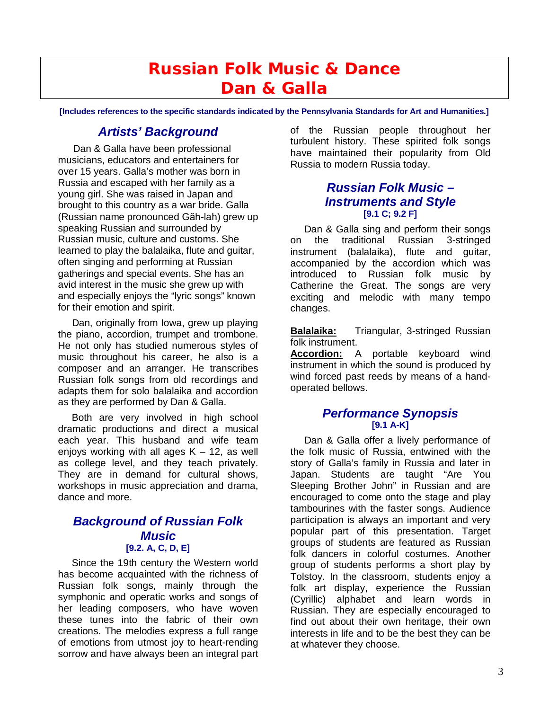## **Russian Folk Music & Dance Dan & Galla**

**[Includes references to the specific standards indicated by the Pennsylvania Standards for Art and Humanities.]**

## *Artists' Background*

Dan & Galla have been professional musicians, educators and entertainers for over 15 years. Galla's mother was born in Russia and escaped with her family as a young girl. She was raised in Japan and brought to this country as a war bride. Galla (Russian name pronounced Găh-lah) grew up speaking Russian and surrounded by Russian music, culture and customs. She learned to play the balalaika, flute and guitar, often singing and performing at Russian gatherings and special events. She has an avid interest in the music she grew up with and especially enjoys the "lyric songs" known for their emotion and spirit.

 Dan, originally from Iowa, grew up playing the piano, accordion, trumpet and trombone. He not only has studied numerous styles of music throughout his career, he also is a composer and an arranger. He transcribes Russian folk songs from old recordings and adapts them for solo balalaika and accordion as they are performed by Dan & Galla.

 Both are very involved in high school dramatic productions and direct a musical each year. This husband and wife team enjoys working with all ages  $K - 12$ , as well as college level, and they teach privately. They are in demand for cultural shows, workshops in music appreciation and drama, dance and more.

#### *Background of Russian Folk Music* **[9.2. A, C, D, E]**

 Since the 19th century the Western world has become acquainted with the richness of Russian folk songs, mainly through the symphonic and operatic works and songs of her leading composers, who have woven these tunes into the fabric of their own creations. The melodies express a full range of emotions from utmost joy to heart-rending sorrow and have always been an integral part of the Russian people throughout her turbulent history. These spirited folk songs have maintained their popularity from Old Russia to modern Russia today.

#### *Russian Folk Music – Instruments and Style* **[9.1 C; 9.2 F]**

 Dan & Galla sing and perform their songs on the traditional Russian 3-stringed instrument (balalaika), flute and guitar, accompanied by the accordion which was introduced to Russian folk music by Catherine the Great. The songs are very exciting and melodic with many tempo changes.

**Balalaika:** Triangular, 3-stringed Russian folk instrument.

**Accordion:** A portable keyboard wind instrument in which the sound is produced by wind forced past reeds by means of a handoperated bellows.

#### *Performance Synopsis* **[9.1 A-K]**

 Dan & Galla offer a lively performance of the folk music of Russia, entwined with the story of Galla's family in Russia and later in Japan. Students are taught "Are You Sleeping Brother John" in Russian and are encouraged to come onto the stage and play tambourines with the faster songs. Audience participation is always an important and very popular part of this presentation. Target groups of students are featured as Russian folk dancers in colorful costumes. Another group of students performs a short play by Tolstoy. In the classroom, students enjoy a folk art display, experience the Russian (Cyrillic) alphabet and learn words in Russian. They are especially encouraged to find out about their own heritage, their own interests in life and to be the best they can be at whatever they choose.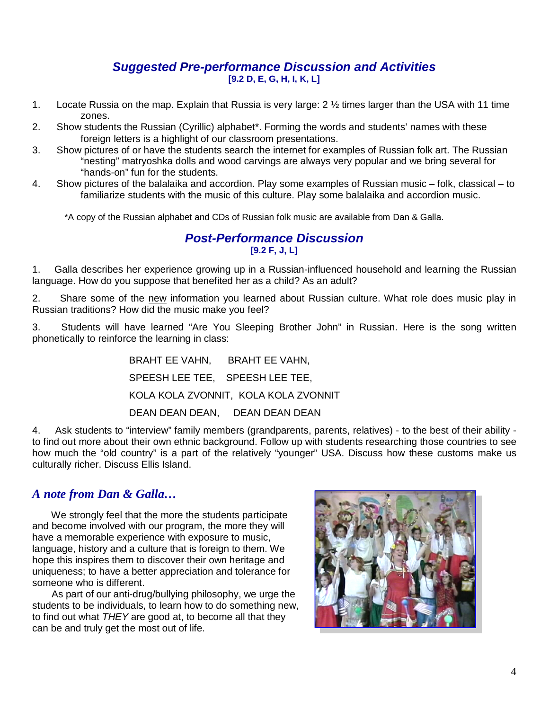#### *Suggested Pre-performance Discussion and Activities* **[9.2 D, E, G, H, I, K, L]**

- 1. Locate Russia on the map. Explain that Russia is very large:  $2\frac{1}{2}$  times larger than the USA with 11 time zones.
- 2. Show students the Russian (Cyrillic) alphabet\*. Forming the words and students' names with these foreign letters is a highlight of our classroom presentations.
- 3. Show pictures of or have the students search the internet for examples of Russian folk art. The Russian "nesting" matryoshka dolls and wood carvings are always very popular and we bring several for "hands-on" fun for the students.
- 4. Show pictures of the balalaika and accordion. Play some examples of Russian music folk, classical to familiarize students with the music of this culture. Play some balalaika and accordion music.

\*A copy of the Russian alphabet and CDs of Russian folk music are available from Dan & Galla.

#### *Post-Performance Discussion* **[9.2 F, J, L]**

1. Galla describes her experience growing up in a Russian-influenced household and learning the Russian language. How do you suppose that benefited her as a child? As an adult?

2. Share some of the new information you learned about Russian culture. What role does music play in Russian traditions? How did the music make you feel?

3. Students will have learned "Are You Sleeping Brother John" in Russian. Here is the song written phonetically to reinforce the learning in class:

> BRAHT EE VAHN, BRAHT EE VAHN, SPEESH LEE TEE, SPEESH LEE TEE, KOLA KOLA ZVONNIT, KOLA KOLA ZVONNIT DEAN DEAN DEAN, DEAN DEAN DEAN

4. Ask students to "interview" family members (grandparents, parents, relatives) - to the best of their ability to find out more about their own ethnic background. Follow up with students researching those countries to see how much the "old country" is a part of the relatively "younger" USA. Discuss how these customs make us culturally richer. Discuss Ellis Island.

## *A note from Dan & Galla…*

 We strongly feel that the more the students participate and become involved with our program, the more they will have a memorable experience with exposure to music, language, history and a culture that is foreign to them. We hope this inspires them to discover their own heritage and uniqueness; to have a better appreciation and tolerance for someone who is different.

 As part of our anti-drug/bullying philosophy, we urge the students to be individuals, to learn how to do something new, to find out what *THEY* are good at, to become all that they can be and truly get the most out of life.